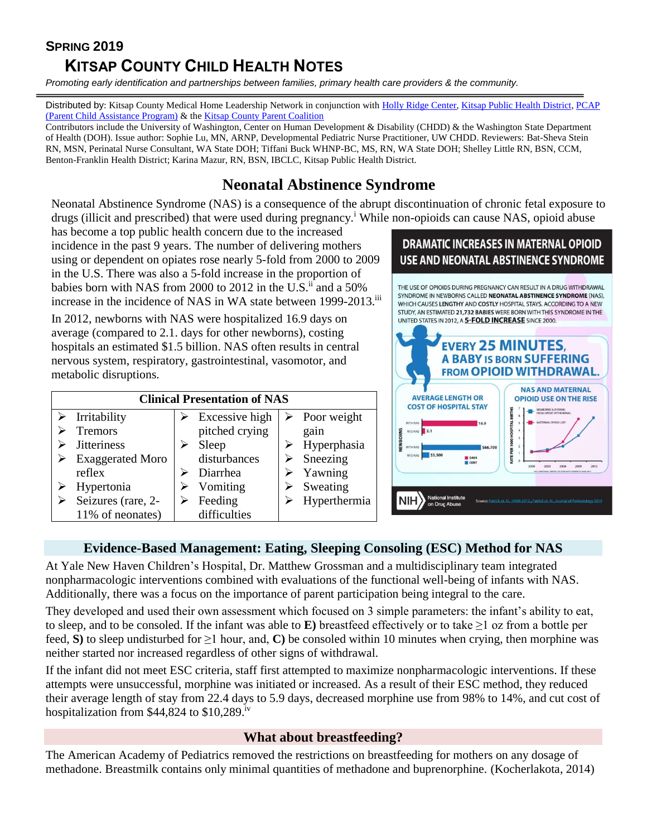# **SPRING 2019**

# **KITSAP COUNTY CHILD HEALTH NOTES**

*Promoting early identification and partnerships between families, primary health care providers & the community.*

Distributed by: Kitsap County Medical Home Leadership Network in conjunction wit[h Holly Ridge](https://hollyridge.org/infant-toddler-program-overview/) Center[, Kitsap Public Health District,](http://www.kitsappublichealth.org/communityHealth/CSHCN.php) PCAP [\(Parent Child Assistance Program\)](http://agapekitsap.org/pcap/2616531) & th[e Kitsap County Parent Coalition](http://www.kitsapcountyparentcoalition.com/index.html)

Contributors include the University of Washington, Center on Human Development & Disability (CHDD) & the Washington State Department of Health (DOH). Issue author: Sophie Lu, MN, ARNP, Developmental Pediatric Nurse Practitioner, UW CHDD. Reviewers: Bat-Sheva Stein RN, MSN, Perinatal Nurse Consultant, WA State DOH; Tiffani Buck WHNP-BC, MS, RN, WA State DOH; Shelley Little RN, BSN, CCM, Benton-Franklin Health District; Karina Mazur, RN, BSN, IBCLC, Kitsap Public Health District.

# **Neonatal Abstinence Syndrome**

Neonatal Abstinence Syndrome (NAS) is a consequence of the abrupt discontinuation of chronic fetal exposure to drugs (illicit and prescribed) that were used during pregnancy.<sup>i</sup> While non-opioids can cause NAS, opioid abuse

has become a top public health concern due to the increased incidence in the past 9 years. The number of delivering mothers using or dependent on opiates rose nearly 5-fold from 2000 to 2009 in the U.S. There was also a 5-fold increase in the proportion of babies born with NAS from 2000 to 2012 in the U.S.<sup>ii</sup> and a 50% increase in the incidence of NAS in WA state between 1999-2013.<sup>iii</sup>

In 2012, newborns with NAS were hospitalized 16.9 days on average (compared to 2.1. days for other newborns), costing hospitals an estimated \$1.5 billion. NAS often results in central nervous system, respiratory, gastrointestinal, vasomotor, and metabolic disruptions.

| <b>Clinical Presentation of NAS</b> |                         |  |                |  |                              |  |  |
|-------------------------------------|-------------------------|--|----------------|--|------------------------------|--|--|
|                                     | Irritability            |  | Excessive high |  | $\triangleright$ Poor weight |  |  |
|                                     | <b>Tremors</b>          |  | pitched crying |  | gain                         |  |  |
|                                     | <b>Jitteriness</b>      |  | Sleep          |  | Hyperphasia                  |  |  |
|                                     | <b>Exaggerated Moro</b> |  | disturbances   |  | Sneezing                     |  |  |
|                                     | reflex                  |  | Diarrhea       |  | Yawning                      |  |  |
|                                     | Hypertonia              |  | Vomiting       |  | Sweating                     |  |  |
|                                     | Seizures (rare, 2-      |  | Feeding        |  | Hyperthermia                 |  |  |
|                                     | 11% of neonates)        |  | difficulties   |  |                              |  |  |

## **DRAMATIC INCREASES IN MATERNAL OPIOID USE AND NEONATAL ABSTINENCE SYNDROME**

THE USE OF OPIOIDS DURING PREGNANCY CAN RESULT IN A DRUG WITHDRAWAL SYNDROME IN NEWBORNS CALLED NEONATAL ABSTINENCE SYNDROME (NAS), WHICH CAUSES LENGTHY AND COSTLY HOSPITAL STAYS. ACCORDING TO A NEW STUDY, AN ESTIMATED 21,732 BABIES WERE BORN WITH THIS SYNDROME IN THE UNITED STATES IN 2012, A 5-FOLD INCREASE SINCE 2000.



#### **Evidence-Based Management: Eating, Sleeping Consoling (ESC) Method for NAS**

At Yale New Haven Children's Hospital, Dr. Matthew Grossman and a multidisciplinary team integrated nonpharmacologic interventions combined with evaluations of the functional well-being of infants with NAS. Additionally, there was a focus on the importance of parent participation being integral to the care.

They developed and used their own assessment which focused on 3 simple parameters: the infant's ability to eat, to sleep, and to be consoled. If the infant was able to **E**) breastfeed effectively or to take  $\geq 1$  oz from a bottle per feed, S) to sleep undisturbed for  $\geq 1$  hour, and, C) be consoled within 10 minutes when crying, then morphine was neither started nor increased regardless of other signs of withdrawal.

If the infant did not meet ESC criteria, staff first attempted to maximize nonpharmacologic interventions. If these attempts were unsuccessful, morphine was initiated or increased. As a result of their ESC method, they reduced their average length of stay from 22.4 days to 5.9 days, decreased morphine use from 98% to 14%, and cut cost of hospitalization from \$44,824 to \$10,289.<sup>iv</sup>

#### **What about breastfeeding?**

The American Academy of Pediatrics removed the restrictions on breastfeeding for mothers on any dosage of methadone. Breastmilk contains only minimal quantities of methadone and buprenorphine. (Kocherlakota, 2014)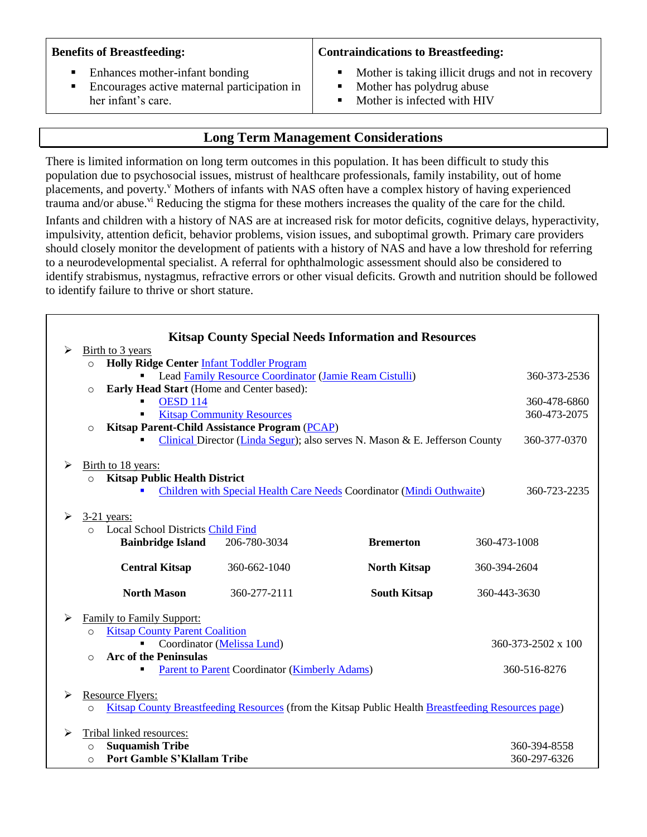|  |  | <b>Benefits of Breastfeeding:</b> |
|--|--|-----------------------------------|
|--|--|-----------------------------------|

#### Enhances mother-infant bonding

■ Encourages active maternal participation in her infant's care.

#### **Contraindications to Breastfeeding:**

- Mother is taking illicit drugs and not in recovery
- Mother has polydrug abuse
- Mother is infected with HIV

## **Long Term Management Considerations**

There is limited information on long term outcomes in this population. It has been difficult to study this population due to psychosocial issues, mistrust of healthcare professionals, family instability, out of home placements, and poverty.<sup>v</sup> Mothers of infants with NAS often have a complex history of having experienced trauma and/or abuse.<sup>vi</sup> Reducing the stigma for these mothers increases the quality of the care for the child.

Infants and children with a history of NAS are at increased risk for motor deficits, cognitive delays, hyperactivity, impulsivity, attention deficit, behavior problems, vision issues, and suboptimal growth. Primary care providers should closely monitor the development of patients with a history of NAS and have a low threshold for referring to a neurodevelopmental specialist. A referral for ophthalmologic assessment should also be considered to identify strabismus, nystagmus, refractive errors or other visual deficits. Growth and nutrition should be followed to identify failure to thrive or short stature.

|   |                                                              |                                                        |                                                      | <b>Kitsap County Special Needs Information and Resources</b>                                       |              |              |
|---|--------------------------------------------------------------|--------------------------------------------------------|------------------------------------------------------|----------------------------------------------------------------------------------------------------|--------------|--------------|
| ➤ | Birth to 3 years                                             |                                                        |                                                      |                                                                                                    |              |              |
|   | $\circ$                                                      | Holly Ridge Center Infant Toddler Program              |                                                      |                                                                                                    |              |              |
|   |                                                              | Lead Family Resource Coordinator (Jamie Ream Cistulli) |                                                      |                                                                                                    |              | 360-373-2536 |
|   | $\circ$                                                      | Early Head Start (Home and Center based):              |                                                      |                                                                                                    |              |              |
|   |                                                              | <b>OESD 114</b>                                        |                                                      |                                                                                                    |              | 360-478-6860 |
|   |                                                              |                                                        | <b>Kitsap Community Resources</b>                    |                                                                                                    |              | 360-473-2075 |
|   | $\Omega$                                                     |                                                        | Kitsap Parent-Child Assistance Program (PCAP)        |                                                                                                    |              |              |
|   |                                                              |                                                        |                                                      | Clinical Director (Linda Segur); also serves N. Mason & E. Jefferson County                        |              | 360-377-0370 |
| ≻ |                                                              | Birth to 18 years:                                     |                                                      |                                                                                                    |              |              |
|   | $\circ$                                                      | <b>Kitsap Public Health District</b>                   |                                                      |                                                                                                    |              |              |
|   |                                                              |                                                        |                                                      | Children with Special Health Care Needs Coordinator (Mindi Outhwaite)                              |              | 360-723-2235 |
|   |                                                              |                                                        |                                                      |                                                                                                    |              |              |
| ≻ |                                                              | $3-21$ years:                                          |                                                      |                                                                                                    |              |              |
|   | $\Omega$                                                     | <b>Local School Districts Child Find</b>               |                                                      |                                                                                                    |              |              |
|   | <b>Bainbridge Island</b><br>206-780-3034<br><b>Bremerton</b> |                                                        |                                                      |                                                                                                    | 360-473-1008 |              |
|   |                                                              |                                                        |                                                      |                                                                                                    |              |              |
|   |                                                              | <b>Central Kitsap</b>                                  | 360-662-1040                                         | <b>North Kitsap</b>                                                                                | 360-394-2604 |              |
|   |                                                              |                                                        |                                                      |                                                                                                    |              |              |
|   |                                                              | <b>North Mason</b>                                     | 360-277-2111                                         | <b>South Kitsap</b>                                                                                | 360-443-3630 |              |
| ≻ |                                                              | <b>Family to Family Support:</b>                       |                                                      |                                                                                                    |              |              |
|   | $\Omega$                                                     | <b>Kitsap County Parent Coalition</b>                  |                                                      |                                                                                                    |              |              |
|   | Coordinator (Melissa Lund)<br>360-373-2502 x 100             |                                                        |                                                      |                                                                                                    |              |              |
|   | <b>Arc of the Peninsulas</b><br>$\Omega$                     |                                                        |                                                      |                                                                                                    |              |              |
|   |                                                              |                                                        | <b>Parent to Parent Coordinator (Kimberly Adams)</b> |                                                                                                    |              | 360-516-8276 |
|   |                                                              |                                                        |                                                      |                                                                                                    |              |              |
| ≻ |                                                              | <b>Resource Flyers:</b>                                |                                                      |                                                                                                    |              |              |
|   | $\circ$                                                      |                                                        |                                                      | Kitsap County Breastfeeding Resources (from the Kitsap Public Health Breastfeeding Resources page) |              |              |
|   |                                                              |                                                        |                                                      |                                                                                                    |              |              |
| ⋗ |                                                              | Tribal linked resources:                               |                                                      |                                                                                                    |              |              |
|   | <b>Suquamish Tribe</b><br>$\circ$                            |                                                        |                                                      |                                                                                                    |              | 360-394-8558 |
|   | $\Omega$                                                     | <b>Port Gamble S'Klallam Tribe</b>                     |                                                      |                                                                                                    |              | 360-297-6326 |